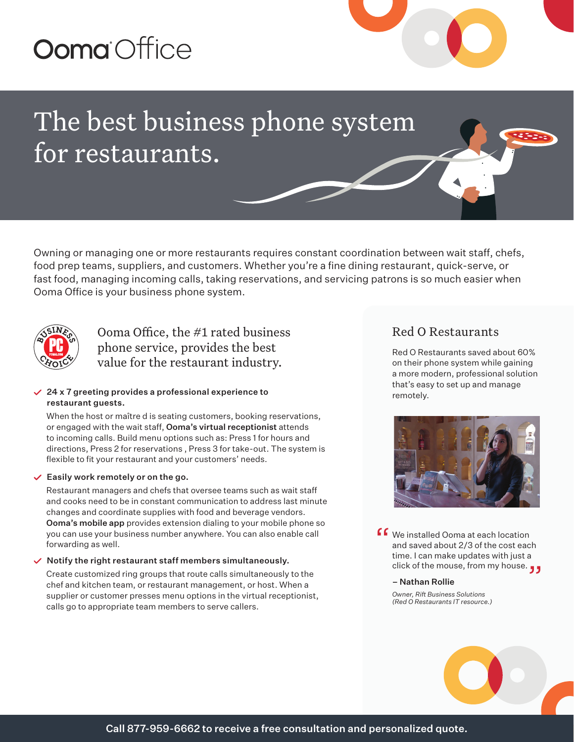# **Ooma** Office



## The best business phone system for restaurants.

Owning or managing one or more restaurants requires constant coordination between wait staff, chefs, food prep teams, suppliers, and customers. Whether you're a fine dining restaurant, quick-serve, or fast food, managing incoming calls, taking reservations, and servicing patrons is so much easier when Ooma Office is your business phone system.



Ooma Office, the #1 rated business phone service, provides the best value for the restaurant industry.

#### $\vee$  24 x 7 greeting provides a professional experience to restaurant guests.

When the host or maître d is seating customers, booking reservations, or engaged with the wait staff, Ooma's virtual receptionist attends to incoming calls. Build menu options such as: Press 1 for hours and directions, Press 2 for reservations , Press 3 for take-out. The system is flexible to fit your restaurant and your customers' needs.

#### $\vee$  Easily work remotely or on the go.

Restaurant managers and chefs that oversee teams such as wait staff and cooks need to be in constant communication to address last minute changes and coordinate supplies with food and beverage vendors. Ooma's mobile app provides extension dialing to your mobile phone so you can use your business number anywhere. You can also enable call forwarding as well.

#### $\vee$  Notify the right restaurant staff members simultaneously.

Create customized ring groups that route calls simultaneously to the chef and kitchen team, or restaurant management, or host. When a supplier or customer presses menu options in the virtual receptionist, calls go to appropriate team members to serve callers.

## Red O Restaurants

Red O Restaurants saved about 60% on their phone system while gaining a more modern, professional solution that's easy to set up and manage remotely.



**f** We installed Ooma at each location<br>and saved about 2/3 of the cost eac<br>time. Lean make undates with just a and saved about 2/3 of the cost each time. I can make updates with just a time. I can make updates with just a<br>click of the mouse, from my house. ڕ

#### – Nathan Rollie

*Owner, Rift Business Solutions (Red O Restaurants IT resource.)*